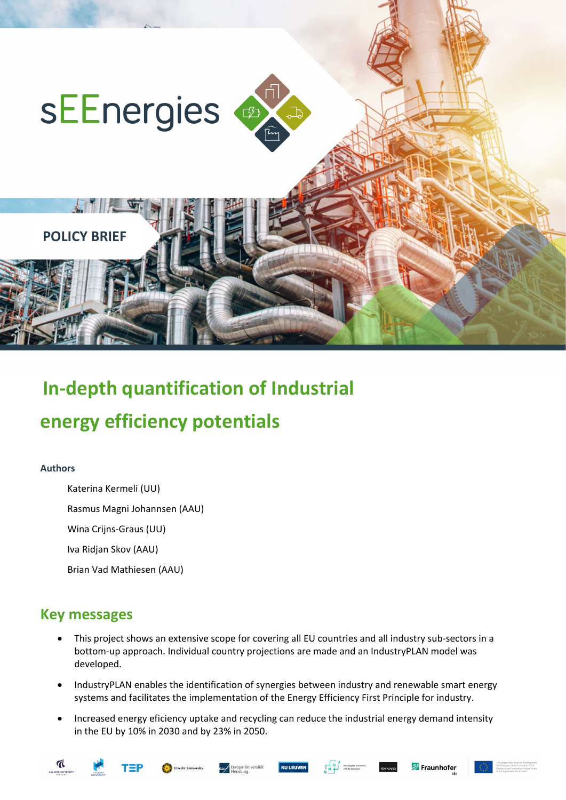

# **In-depth quantification of Industrial**

## **energy efficiency potentials**

#### **Authors**

Katerina Kermeli (UU)

Rasmus Magni Johannsen (AAU)

Wina Crijns-Graus (UU)

Iva Ridjan Skov (AAU)

Brian Vad Mathiesen (AAU)

## **Key messages**

- This project shows an extensive scope for covering all EU countries and all industry sub-sectors in a bottom-up approach. Individual country projections are made and an IndustryPLAN model was developed.
- IndustryPLAN enables the identification of synergies between industry and renewable smart energy systems and facilitates the implementation of the Energy Efficiency First Principle for industry.
- Increased energy eficiency uptake and recycling can reduce the industrial energy demand intensity in the EU by 10% in 2030 and by 23% in 2050.







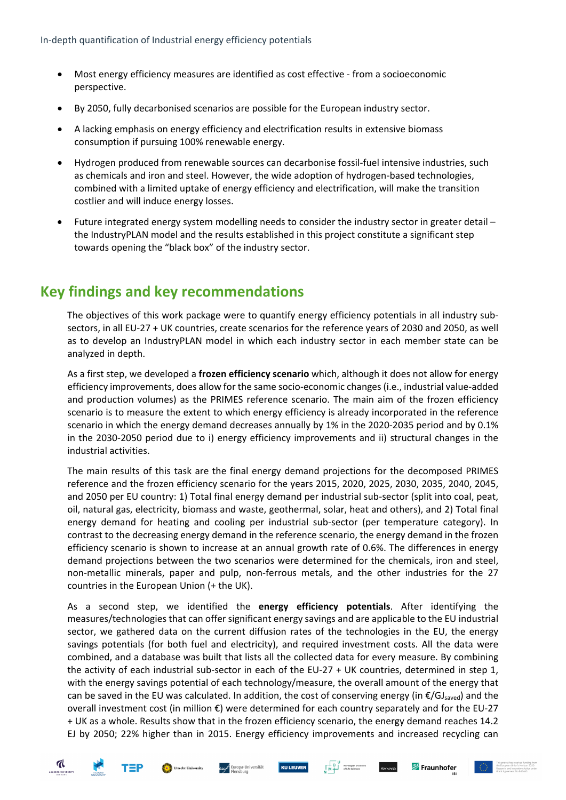- Most energy efficiency measures are identified as cost effective from a socioeconomic perspective.
- By 2050, fully decarbonised scenarios are possible for the European industry sector.
- A lacking emphasis on energy efficiency and electrification results in extensive biomass consumption if pursuing 100% renewable energy.
- Hydrogen produced from renewable sources can decarbonise fossil-fuel intensive industries, such as chemicals and iron and steel. However, the wide adoption of hydrogen-based technologies, combined with a limited uptake of energy efficiency and electrification, will make the transition costlier and will induce energy losses.
- Future integrated energy system modelling needs to consider the industry sector in greater detail the IndustryPLAN model and the results established in this project constitute a significant step towards opening the "black box" of the industry sector.

### **Key findings and key recommendations**

The objectives of this work package were to quantify energy efficiency potentials in all industry subsectors, in all EU-27 + UK countries, create scenarios for the reference years of 2030 and 2050, as well as to develop an IndustryPLAN model in which each industry sector in each member state can be analyzed in depth.

As a first step, we developed a **frozen efficiency scenario** which, although it does not allow for energy efficiency improvements, does allow for the same socio-economic changes (i.e., industrial value-added and production volumes) as the PRIMES reference scenario. The main aim of the frozen efficiency scenario is to measure the extent to which energy efficiency is already incorporated in the reference scenario in which the energy demand decreases annually by 1% in the 2020-2035 period and by 0.1% in the 2030-2050 period due to i) energy efficiency improvements and ii) structural changes in the industrial activities.

The main results of this task are the final energy demand projections for the decomposed PRIMES reference and the frozen efficiency scenario for the years 2015, 2020, 2025, 2030, 2035, 2040, 2045, and 2050 per EU country: 1) Total final energy demand per industrial sub-sector (split into coal, peat, oil, natural gas, electricity, biomass and waste, geothermal, solar, heat and others), and 2) Total final energy demand for heating and cooling per industrial sub-sector (per temperature category). In contrast to the decreasing energy demand in the reference scenario, the energy demand in the frozen efficiency scenario is shown to increase at an annual growth rate of 0.6%. The differences in energy demand projections between the two scenarios were determined for the chemicals, iron and steel, non-metallic minerals, paper and pulp, non-ferrous metals, and the other industries for the 27 countries in the European Union (+ the UK).

As a second step, we identified the **energy efficiency potentials**. After identifying the measures/technologies that can offer significant energy savings and are applicable to the EU industrial sector, we gathered data on the current diffusion rates of the technologies in the EU, the energy savings potentials (for both fuel and electricity), and required investment costs. All the data were combined, and a database was built that lists all the collected data for every measure. By combining the activity of each industrial sub-sector in each of the EU-27 + UK countries, determined in step 1, with the energy savings potential of each technology/measure, the overall amount of the energy that can be saved in the EU was calculated. In addition, the cost of conserving energy (in  $\epsilon/GJ<sub>saved</sub>$ ) and the overall investment cost (in million €) were determined for each country separately and for the EU-27 + UK as a whole. Results show that in the frozen efficiency scenario, the energy demand reaches 14.2 EJ by 2050; 22% higher than in 2015. Energy efficiency improvements and increased recycling can